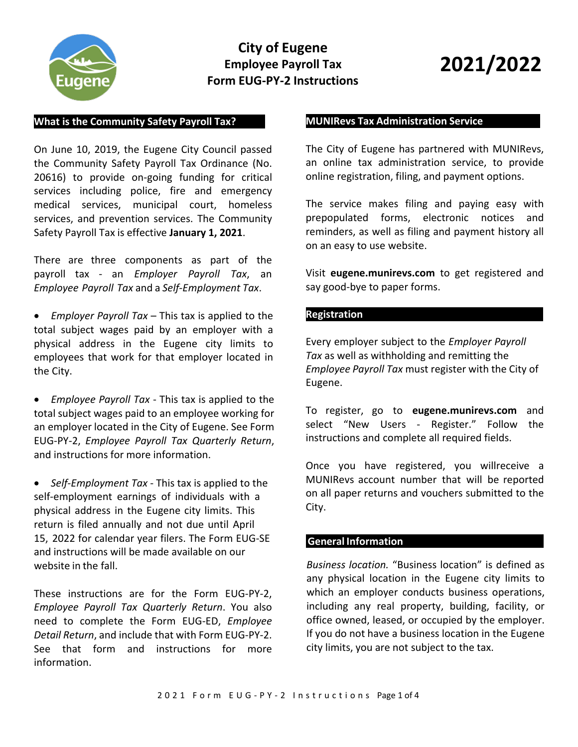

# **City of Eugene Employee Payroll Tax Form EUG-PY-2 Instructions**

# **2021/2022**

#### **What is the Community Safety Payroll Tax?**

On June 10, 2019, the Eugene City Council passed the Community Safety Payroll Tax Ordinance (No. 20616) to provide on-going funding for critical services including police, fire and emergency medical services, municipal court, homeless services, and prevention services. The Community Safety Payroll Tax is effective **January 1, 2021**.

There are three components as part of the payroll tax - an *Employer Payroll Tax*, an *Employee Payroll Tax* and a *Self-Employment Tax*.

• *Employer Payroll Tax* – This tax is applied to the total subject wages paid by an employer with a physical address in the Eugene city limits to employees that work for that employer located in the City.

• *Employee Payroll Tax* - This tax is applied to the total subject wages paid to an employee working for an employer located in the City of Eugene. See Form EUG-PY-2, *Employee Payroll Tax Quarterly Return*, and instructions for more information.

• *Self-Employment Tax* - This tax is applied to the self-employment earnings of individuals with a physical address in the Eugene city limits. This return is filed annually and not due until April 15, 2022 for calendar year filers. The Form EUG-SE and instructions will be made available on our website in the fall.

These instructions are for the Form EUG-PY-2, *Employee Payroll Tax Quarterly Return*. You also need to complete the Form EUG-ED, *Employee Detail Return*, and include that with Form EUG-PY-2. See that form and instructions for more information.

#### **MUNIRevs Tax Administration Service**

The City of Eugene has partnered with MUNIRevs, an online tax administration service, to provide online registration, filing, and payment options.

The service makes filing and paying easy with prepopulated forms, electronic notices and reminders, as well as filing and payment history all on an easy to use website.

Visit **eugene.munirevs.com** to get registered and say good-bye to paper forms.

#### **Registration**

Every employer subject to the *Employer Payroll Tax* as well as withholding and remitting the *Employee Payroll Tax* must register with the City of Eugene.

To register, go to **eugene.munirevs.com** and select "New Users - Register." Follow the instructions and complete all required fields.

Once you have registered, you willreceive a MUNIRevs account number that will be reported on all paper returns and vouchers submitted to the City.

# **General Information**

*Business location.* "Business location" is defined as any physical location in the Eugene city limits to which an employer conducts business operations, including any real property, building, facility, or office owned, leased, or occupied by the employer. If you do not have a business location in the Eugene city limits, you are not subject to the tax.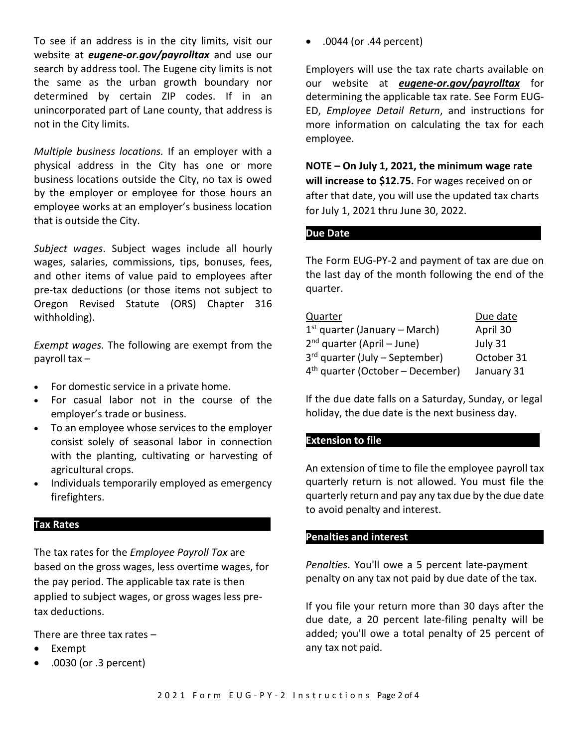To see if an address is in the city limits, visit our website at *eugene-or.gov/payrolltax* and use our search by address tool. The Eugene city limits is not the same as the urban growth boundary nor determined by certain ZIP codes. If in an unincorporated part of Lane county, that address is not in the City limits.

*Multiple business locations.* If an employer with a physical address in the City has one or more business locations outside the City, no tax is owed by the employer or employee for those hours an employee works at an employer's business location that is outside the City.

*Subject wages*. Subject wages include all hourly wages, salaries, commissions, tips, bonuses, fees, and other items of value paid to employees after pre-tax deductions (or those items not subject to Oregon Revised Statute (ORS) Chapter 316 withholding).

*Exempt wages.* The following are exempt from the payroll tax –

- For domestic service in a private home.
- For casual labor not in the course of the employer's trade or business.
- To an employee whose services to the employer consist solely of seasonal labor in connection with the planting, cultivating or harvesting of agricultural crops.
- Individuals temporarily employed as emergency firefighters.

# **Tax Rates**

The tax rates for the *Employee Payroll Tax* are based on the gross wages, less overtime wages, for the pay period. The applicable tax rate is then applied to subject wages, or gross wages less pretax deductions.

There are three tax rates –

- **Exempt**
- .0030 (or .3 percent)

• .0044 (or .44 percent)

Employers will use the tax rate charts available on our website at *eugene-or.gov/payrolltax* for determining the applicable tax rate. See Form EUG-ED, *Employee Detail Return*, and instructions for more information on calculating the tax for each employee.

**NOTE – On July 1, 2021, the minimum wage rate will increase to \$12.75.** For wages received on or after that date, you will use the updated tax charts for July 1, 2021 thru June 30, 2022.

#### **Due Date**

The Form EUG-PY-2 and payment of tax are due on the last day of the month following the end of the quarter.

| Quarter                            | Due date   |
|------------------------------------|------------|
| $1st$ quarter (January – March)    | April 30   |
| $2nd$ quarter (April – June)       | July 31    |
| $3rd$ quarter (July – September)   | October 31 |
| $4th$ quarter (October – December) | January 31 |

If the due date falls on a Saturday, Sunday, or legal holiday, the due date is the next business day.

# **Extension to file**

An extension of time to file the employee payroll tax quarterly return is not allowed. You must file the quarterly return and pay any tax due by the due date to avoid penalty and interest.

#### **Penalties and interest**

*Penalties*. You'll owe a 5 percent late-payment penalty on any tax not paid by due date of the tax.

If you file your return more than 30 days after the due date, a 20 percent late-filing penalty will be added; you'll owe a total penalty of 25 percent of any tax not paid.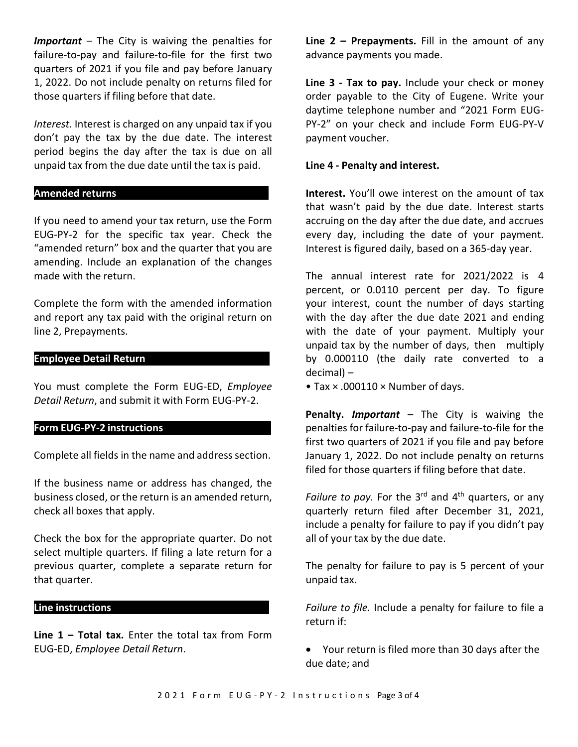*Important* – The City is waiving the penalties for failure-to-pay and failure-to-file for the first two quarters of 2021 if you file and pay before January 1, 2022. Do not include penalty on returns filed for those quarters if filing before that date.

*Interest*. Interest is charged on any unpaid tax if you don't pay the tax by the due date. The interest period begins the day after the tax is due on all unpaid tax from the due date until the tax is paid.

#### **Amended returns**

If you need to amend your tax return, use the Form EUG-PY-2 for the specific tax year. Check the "amended return" box and the quarter that you are amending. Include an explanation of the changes made with the return.

Complete the form with the amended information and report any tax paid with the original return on line 2, Prepayments.

# **Employee Detail Return**

You must complete the Form EUG-ED, *Employee Detail Return*, and submit it with Form EUG-PY-2.

# **Form EUG-PY-2 instructions**

Complete all fields in the name and address section.

If the business name or address has changed, the business closed, or the return is an amended return, check all boxes that apply.

Check the box for the appropriate quarter. Do not select multiple quarters. If filing a late return for a previous quarter, complete a separate return for that quarter.

# **Line instructions**

**Line 1 – Total tax.** Enter the total tax from Form EUG-ED, *Employee Detail Return*.

**Line 2 – Prepayments.** Fill in the amount of any advance payments you made.

**Line 3 - Tax to pay.** Include your check or money order payable to the City of Eugene. Write your daytime telephone number and "2021 Form EUG-PY-2" on your check and include Form EUG-PY-V payment voucher.

# **Line 4 - Penalty and interest.**

**Interest.** You'll owe interest on the amount of tax that wasn't paid by the due date. Interest starts accruing on the day after the due date, and accrues every day, including the date of your payment. Interest is figured daily, based on a 365-day year.

The annual interest rate for 2021/2022 is 4 percent, or 0.0110 percent per day. To figure your interest, count the number of days starting with the day after the due date 2021 and ending with the date of your payment. Multiply your unpaid tax by the number of days, then multiply by 0.000110 (the daily rate converted to a decimal) –

• Tax × .000110 × Number of days.

**Penalty.** *Important* – The City is waiving the penalties for failure-to-pay and failure-to-file for the first two quarters of 2021 if you file and pay before January 1, 2022. Do not include penalty on returns filed for those quarters if filing before that date.

*Failure to pay.* For the  $3<sup>rd</sup>$  and  $4<sup>th</sup>$  quarters, or any quarterly return filed after December 31, 2021, include a penalty for failure to pay if you didn't pay all of your tax by the due date.

The penalty for failure to pay is 5 percent of your unpaid tax.

*Failure to file.* Include a penalty for failure to file a return if:

• Your return is filed more than 30 days after the due date; and